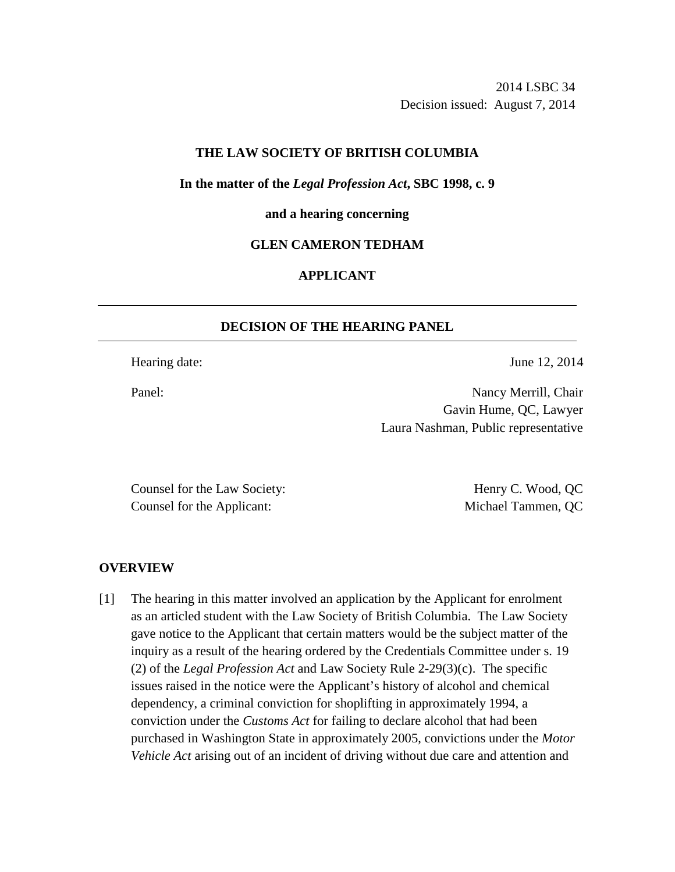2014 LSBC 34 Decision issued: August 7, 2014

## **THE LAW SOCIETY OF BRITISH COLUMBIA**

#### **In the matter of the** *Legal Profession Act***, SBC 1998, c. 9**

#### **and a hearing concerning**

# **GLEN CAMERON TEDHAM**

# **APPLICANT**

## **DECISION OF THE HEARING PANEL**

Hearing date: June 12, 2014

Panel: Nancy Merrill, Chair Gavin Hume, QC, Lawyer Laura Nashman, Public representative

Counsel for the Law Society: Henry C. Wood, QC Counsel for the Applicant: Michael Tammen, QC

#### **OVERVIEW**

[1] The hearing in this matter involved an application by the Applicant for enrolment as an articled student with the Law Society of British Columbia. The Law Society gave notice to the Applicant that certain matters would be the subject matter of the inquiry as a result of the hearing ordered by the Credentials Committee under s. 19 (2) of the *Legal Profession Act* and Law Society Rule 2-29(3)(c). The specific issues raised in the notice were the Applicant's history of alcohol and chemical dependency, a criminal conviction for shoplifting in approximately 1994, a conviction under the *Customs Act* for failing to declare alcohol that had been purchased in Washington State in approximately 2005, convictions under the *Motor Vehicle Act* arising out of an incident of driving without due care and attention and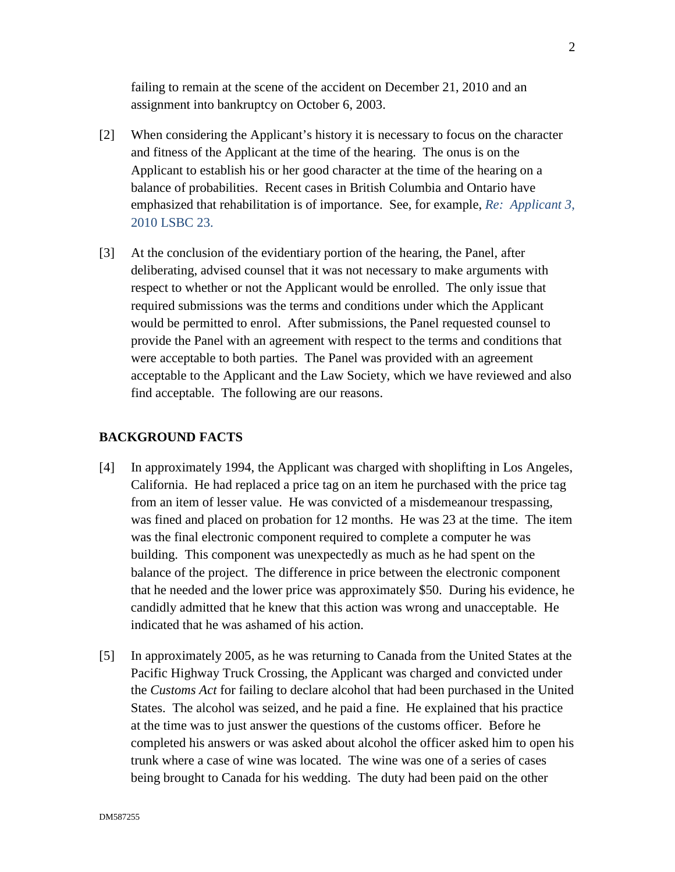failing to remain at the scene of the accident on December 21, 2010 and an assignment into bankruptcy on October 6, 2003.

- [2] When considering the Applicant's history it is necessary to focus on the character and fitness of the Applicant at the time of the hearing. The onus is on the Applicant to establish his or her good character at the time of the hearing on a balance of probabilities. Recent cases in British Columbia and Ontario have emphasized that rehabilitation is of importance.See, for example, *Re: Applicant 3*, 2010 LSBC 23.
- [3] At the conclusion of the evidentiary portion of the hearing, the Panel, after deliberating, advised counsel that it was not necessary to make arguments with respect to whether or not the Applicant would be enrolled. The only issue that required submissions was the terms and conditions under which the Applicant would be permitted to enrol. After submissions, the Panel requested counsel to provide the Panel with an agreement with respect to the terms and conditions that were acceptable to both parties. The Panel was provided with an agreement acceptable to the Applicant and the Law Society, which we have reviewed and also find acceptable. The following are our reasons.

#### **BACKGROUND FACTS**

- [4] In approximately 1994, the Applicant was charged with shoplifting in Los Angeles, California. He had replaced a price tag on an item he purchased with the price tag from an item of lesser value. He was convicted of a misdemeanour trespassing, was fined and placed on probation for 12 months. He was 23 at the time. The item was the final electronic component required to complete a computer he was building. This component was unexpectedly as much as he had spent on the balance of the project. The difference in price between the electronic component that he needed and the lower price was approximately \$50. During his evidence, he candidly admitted that he knew that this action was wrong and unacceptable. He indicated that he was ashamed of his action.
- [5] In approximately 2005, as he was returning to Canada from the United States at the Pacific Highway Truck Crossing, the Applicant was charged and convicted under the *Customs Act* for failing to declare alcohol that had been purchased in the United States. The alcohol was seized, and he paid a fine. He explained that his practice at the time was to just answer the questions of the customs officer. Before he completed his answers or was asked about alcohol the officer asked him to open his trunk where a case of wine was located. The wine was one of a series of cases being brought to Canada for his wedding. The duty had been paid on the other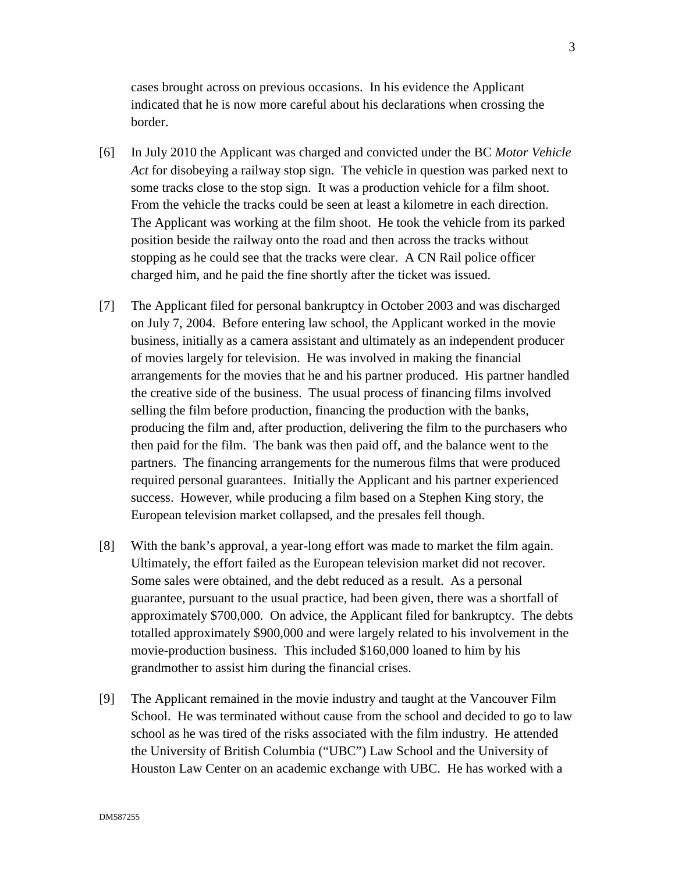cases brought across on previous occasions. In his evidence the Applicant indicated that he is now more careful about his declarations when crossing the border.

- [6] In July 2010 the Applicant was charged and convicted under the BC *Motor Vehicle Act* for disobeying a railway stop sign. The vehicle in question was parked next to some tracks close to the stop sign. It was a production vehicle for a film shoot. From the vehicle the tracks could be seen at least a kilometre in each direction. The Applicant was working at the film shoot. He took the vehicle from its parked position beside the railway onto the road and then across the tracks without stopping as he could see that the tracks were clear. A CN Rail police officer charged him, and he paid the fine shortly after the ticket was issued.
- [7] The Applicant filed for personal bankruptcy in October 2003 and was discharged on July 7, 2004. Before entering law school, the Applicant worked in the movie business, initially as a camera assistant and ultimately as an independent producer of movies largely for television. He was involved in making the financial arrangements for the movies that he and his partner produced. His partner handled the creative side of the business. The usual process of financing films involved selling the film before production, financing the production with the banks, producing the film and, after production, delivering the film to the purchasers who then paid for the film. The bank was then paid off, and the balance went to the partners. The financing arrangements for the numerous films that were produced required personal guarantees. Initially the Applicant and his partner experienced success. However, while producing a film based on a Stephen King story, the European television market collapsed, and the presales fell though.
- [8] With the bank's approval, a year-long effort was made to market the film again. Ultimately, the effort failed as the European television market did not recover. Some sales were obtained, and the debt reduced as a result. As a personal guarantee, pursuant to the usual practice, had been given, there was a shortfall of approximately \$700,000. On advice, the Applicant filed for bankruptcy. The debts totalled approximately \$900,000 and were largely related to his involvement in the movie-production business. This included \$160,000 loaned to him by his grandmother to assist him during the financial crises.
- [9] The Applicant remained in the movie industry and taught at the Vancouver Film School. He was terminated without cause from the school and decided to go to law school as he was tired of the risks associated with the film industry. He attended the University of British Columbia ("UBC") Law School and the University of Houston Law Center on an academic exchange with UBC. He has worked with a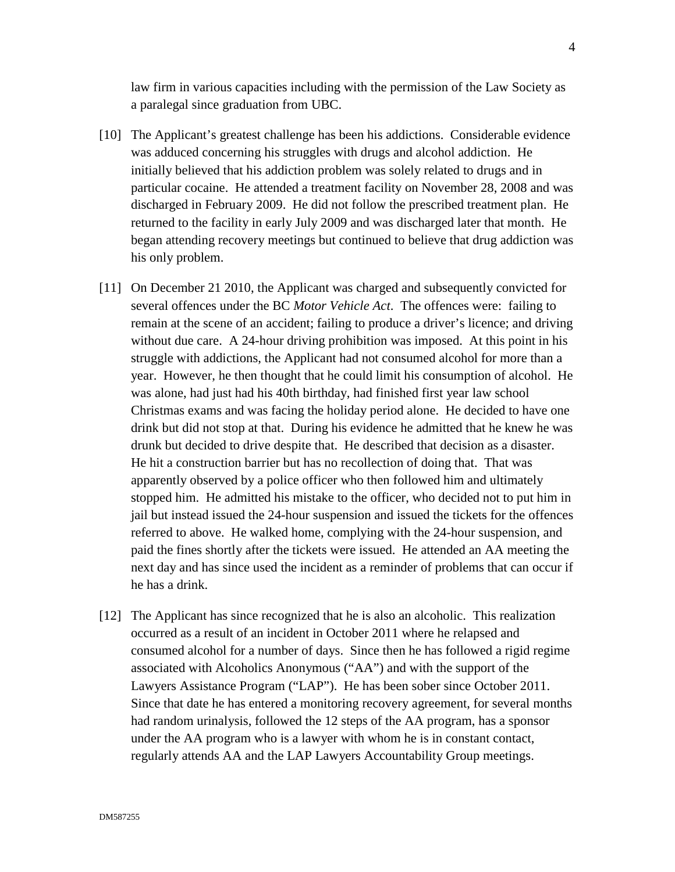law firm in various capacities including with the permission of the Law Society as a paralegal since graduation from UBC.

- [10] The Applicant's greatest challenge has been his addictions. Considerable evidence was adduced concerning his struggles with drugs and alcohol addiction. He initially believed that his addiction problem was solely related to drugs and in particular cocaine. He attended a treatment facility on November 28, 2008 and was discharged in February 2009. He did not follow the prescribed treatment plan. He returned to the facility in early July 2009 and was discharged later that month. He began attending recovery meetings but continued to believe that drug addiction was his only problem.
- [11] On December 21 2010, the Applicant was charged and subsequently convicted for several offences under the BC *Motor Vehicle Act*. The offences were: failing to remain at the scene of an accident; failing to produce a driver's licence; and driving without due care. A 24-hour driving prohibition was imposed. At this point in his struggle with addictions, the Applicant had not consumed alcohol for more than a year. However, he then thought that he could limit his consumption of alcohol. He was alone, had just had his 40th birthday, had finished first year law school Christmas exams and was facing the holiday period alone. He decided to have one drink but did not stop at that. During his evidence he admitted that he knew he was drunk but decided to drive despite that. He described that decision as a disaster. He hit a construction barrier but has no recollection of doing that. That was apparently observed by a police officer who then followed him and ultimately stopped him. He admitted his mistake to the officer, who decided not to put him in jail but instead issued the 24-hour suspension and issued the tickets for the offences referred to above. He walked home, complying with the 24-hour suspension, and paid the fines shortly after the tickets were issued. He attended an AA meeting the next day and has since used the incident as a reminder of problems that can occur if he has a drink.
- [12] The Applicant has since recognized that he is also an alcoholic. This realization occurred as a result of an incident in October 2011 where he relapsed and consumed alcohol for a number of days. Since then he has followed a rigid regime associated with Alcoholics Anonymous ("AA") and with the support of the Lawyers Assistance Program ("LAP"). He has been sober since October 2011. Since that date he has entered a monitoring recovery agreement, for several months had random urinalysis, followed the 12 steps of the AA program, has a sponsor under the AA program who is a lawyer with whom he is in constant contact, regularly attends AA and the LAP Lawyers Accountability Group meetings.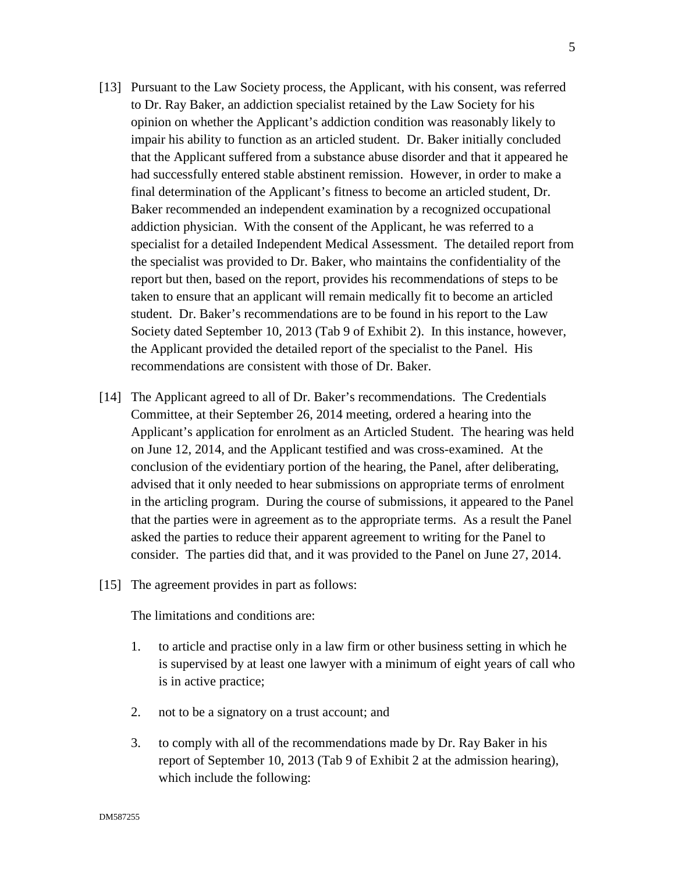- [13] Pursuant to the Law Society process, the Applicant, with his consent, was referred to Dr. Ray Baker, an addiction specialist retained by the Law Society for his opinion on whether the Applicant's addiction condition was reasonably likely to impair his ability to function as an articled student. Dr. Baker initially concluded that the Applicant suffered from a substance abuse disorder and that it appeared he had successfully entered stable abstinent remission. However, in order to make a final determination of the Applicant's fitness to become an articled student, Dr. Baker recommended an independent examination by a recognized occupational addiction physician. With the consent of the Applicant, he was referred to a specialist for a detailed Independent Medical Assessment. The detailed report from the specialist was provided to Dr. Baker, who maintains the confidentiality of the report but then, based on the report, provides his recommendations of steps to be taken to ensure that an applicant will remain medically fit to become an articled student. Dr. Baker's recommendations are to be found in his report to the Law Society dated September 10, 2013 (Tab 9 of Exhibit 2). In this instance, however, the Applicant provided the detailed report of the specialist to the Panel. His recommendations are consistent with those of Dr. Baker.
- [14] The Applicant agreed to all of Dr. Baker's recommendations. The Credentials Committee, at their September 26, 2014 meeting, ordered a hearing into the Applicant's application for enrolment as an Articled Student. The hearing was held on June 12, 2014, and the Applicant testified and was cross-examined. At the conclusion of the evidentiary portion of the hearing, the Panel, after deliberating, advised that it only needed to hear submissions on appropriate terms of enrolment in the articling program. During the course of submissions, it appeared to the Panel that the parties were in agreement as to the appropriate terms. As a result the Panel asked the parties to reduce their apparent agreement to writing for the Panel to consider. The parties did that, and it was provided to the Panel on June 27, 2014.
- [15] The agreement provides in part as follows:

The limitations and conditions are:

- 1. to article and practise only in a law firm or other business setting in which he is supervised by at least one lawyer with a minimum of eight years of call who is in active practice;
- 2. not to be a signatory on a trust account; and
- 3. to comply with all of the recommendations made by Dr. Ray Baker in his report of September 10, 2013 (Tab 9 of Exhibit 2 at the admission hearing), which include the following:

5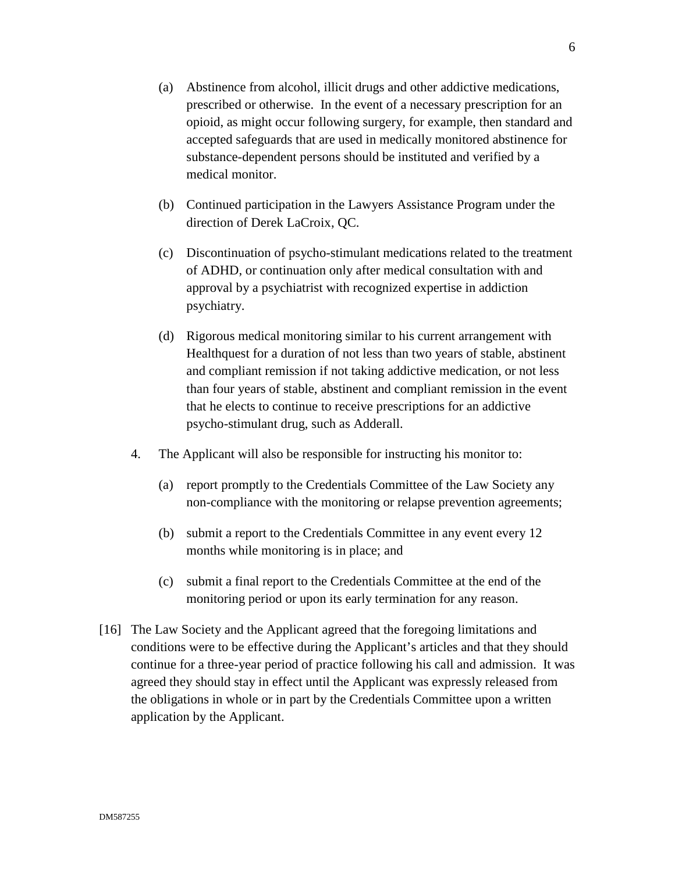- (a) Abstinence from alcohol, illicit drugs and other addictive medications, prescribed or otherwise. In the event of a necessary prescription for an opioid, as might occur following surgery, for example, then standard and accepted safeguards that are used in medically monitored abstinence for substance-dependent persons should be instituted and verified by a medical monitor.
- (b) Continued participation in the Lawyers Assistance Program under the direction of Derek LaCroix, QC.
- (c) Discontinuation of psycho-stimulant medications related to the treatment of ADHD, or continuation only after medical consultation with and approval by a psychiatrist with recognized expertise in addiction psychiatry.
- (d) Rigorous medical monitoring similar to his current arrangement with Healthquest for a duration of not less than two years of stable, abstinent and compliant remission if not taking addictive medication, or not less than four years of stable, abstinent and compliant remission in the event that he elects to continue to receive prescriptions for an addictive psycho-stimulant drug, such as Adderall.
- 4. The Applicant will also be responsible for instructing his monitor to:
	- (a) report promptly to the Credentials Committee of the Law Society any non-compliance with the monitoring or relapse prevention agreements;
	- (b) submit a report to the Credentials Committee in any event every 12 months while monitoring is in place; and
	- (c) submit a final report to the Credentials Committee at the end of the monitoring period or upon its early termination for any reason.
- [16] The Law Society and the Applicant agreed that the foregoing limitations and conditions were to be effective during the Applicant's articles and that they should continue for a three-year period of practice following his call and admission. It was agreed they should stay in effect until the Applicant was expressly released from the obligations in whole or in part by the Credentials Committee upon a written application by the Applicant.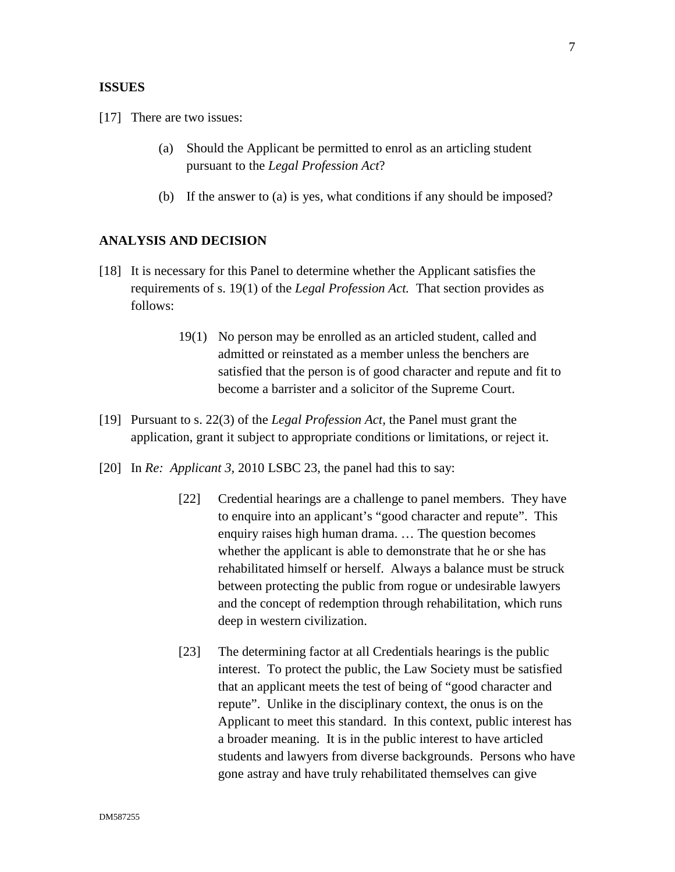## **ISSUES**

[17] There are two issues:

- (a) Should the Applicant be permitted to enrol as an articling student pursuant to the *Legal Profession Act*?
- (b) If the answer to (a) is yes, what conditions if any should be imposed?

#### **ANALYSIS AND DECISION**

- [18] It is necessary for this Panel to determine whether the Applicant satisfies the requirements of s. 19(1) of the *Legal Profession Act.* That section provides as follows:
	- 19(1) No person may be enrolled as an articled student, called and admitted or reinstated as a member unless the benchers are satisfied that the person is of good character and repute and fit to become a barrister and a solicitor of the Supreme Court.
- [19] Pursuant to s. 22(3) of the *Legal Profession Act,* the Panel must grant the application, grant it subject to appropriate conditions or limitations, or reject it.
- [20] In *Re: Applicant 3,* 2010 LSBC 23, the panel had this to say:
	- [22] Credential hearings are a challenge to panel members. They have to enquire into an applicant's "good character and repute". This enquiry raises high human drama. … The question becomes whether the applicant is able to demonstrate that he or she has rehabilitated himself or herself. Always a balance must be struck between protecting the public from rogue or undesirable lawyers and the concept of redemption through rehabilitation, which runs deep in western civilization.
	- [23] The determining factor at all Credentials hearings is the public interest. To protect the public, the Law Society must be satisfied that an applicant meets the test of being of "good character and repute". Unlike in the disciplinary context, the onus is on the Applicant to meet this standard. In this context, public interest has a broader meaning. It is in the public interest to have articled students and lawyers from diverse backgrounds. Persons who have gone astray and have truly rehabilitated themselves can give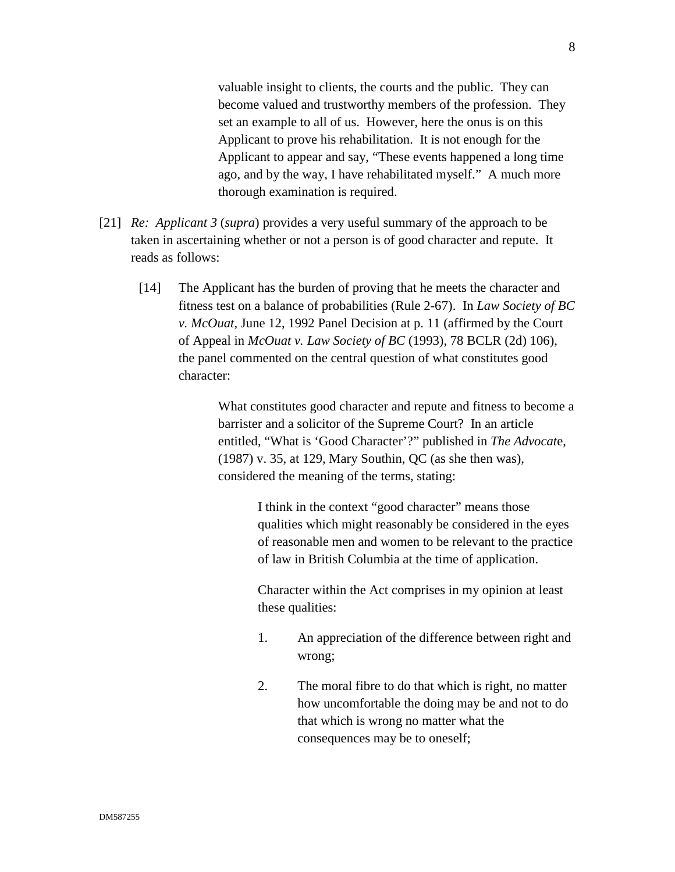valuable insight to clients, the courts and the public. They can become valued and trustworthy members of the profession. They set an example to all of us. However, here the onus is on this Applicant to prove his rehabilitation. It is not enough for the Applicant to appear and say, "These events happened a long time ago, and by the way, I have rehabilitated myself." A much more thorough examination is required.

- [21] *Re: Applicant 3* (*supra*) provides a very useful summary of the approach to be taken in ascertaining whether or not a person is of good character and repute. It reads as follows:
	- [14] The Applicant has the burden of proving that he meets the character and fitness test on a balance of probabilities (Rule 2-67). In *Law Society of BC v. McOuat*, June 12, 1992 Panel Decision at p. 11 (affirmed by the Court of Appeal in *McOuat v. Law Society of BC* (1993), 78 BCLR (2d) 106), the panel commented on the central question of what constitutes good character:

What constitutes good character and repute and fitness to become a barrister and a solicitor of the Supreme Court? In an article entitled, "What is 'Good Character'?" published in *The Advocat*e, (1987) v. 35, at 129, Mary Southin, QC (as she then was), considered the meaning of the terms, stating:

> I think in the context "good character" means those qualities which might reasonably be considered in the eyes of reasonable men and women to be relevant to the practice of law in British Columbia at the time of application.

Character within the Act comprises in my opinion at least these qualities:

- 1. An appreciation of the difference between right and wrong;
- 2. The moral fibre to do that which is right, no matter how uncomfortable the doing may be and not to do that which is wrong no matter what the consequences may be to oneself;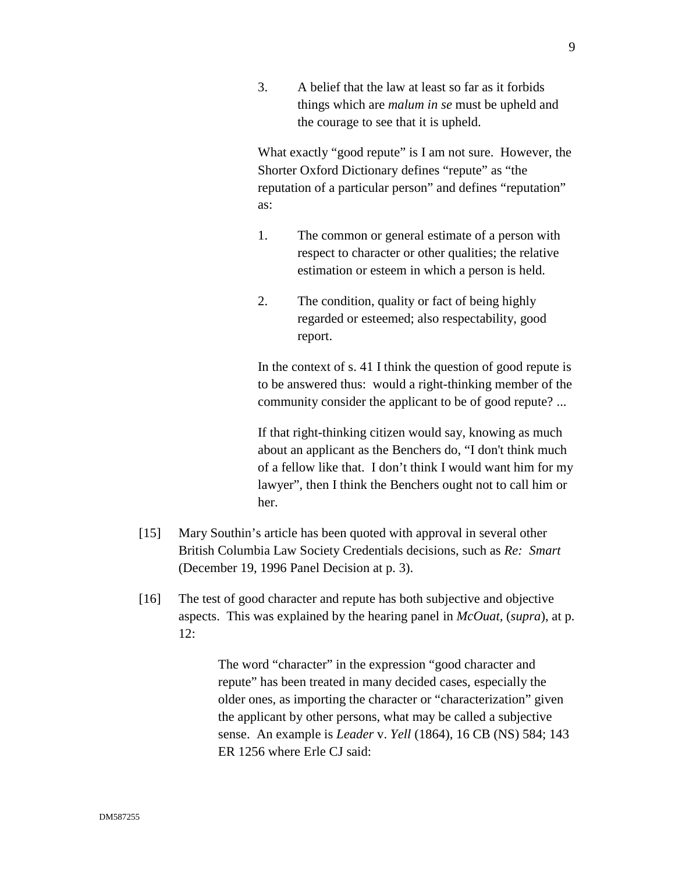3. A belief that the law at least so far as it forbids things which are *malum in se* must be upheld and the courage to see that it is upheld.

What exactly "good repute" is I am not sure. However, the Shorter Oxford Dictionary defines "repute" as "the reputation of a particular person" and defines "reputation" as:

- 1. The common or general estimate of a person with respect to character or other qualities; the relative estimation or esteem in which a person is held.
- 2. The condition, quality or fact of being highly regarded or esteemed; also respectability, good report.

In the context of s. 41 I think the question of good repute is to be answered thus: would a right-thinking member of the community consider the applicant to be of good repute? ...

If that right-thinking citizen would say, knowing as much about an applicant as the Benchers do, "I don't think much of a fellow like that. I don't think I would want him for my lawyer", then I think the Benchers ought not to call him or her.

- [15] Mary Southin's article has been quoted with approval in several other British Columbia Law Society Credentials decisions, such as *Re: Smart* (December 19, 1996 Panel Decision at p. 3).
- [16] The test of good character and repute has both subjective and objective aspects. This was explained by the hearing panel in *McOuat,* (*supra*), at p. 12:

The word "character" in the expression "good character and repute" has been treated in many decided cases, especially the older ones, as importing the character or "characterization" given the applicant by other persons, what may be called a subjective sense. An example is *Leader* v. *Yell* (1864), 16 CB (NS) 584; 143 ER 1256 where Erle CJ said: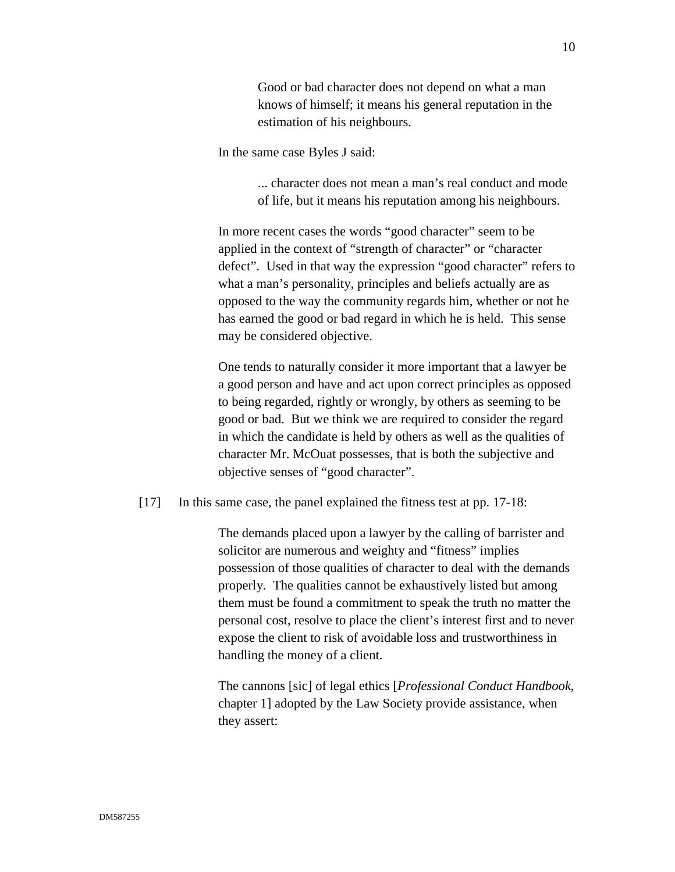Good or bad character does not depend on what a man knows of himself; it means his general reputation in the estimation of his neighbours.

In the same case Byles J said:

... character does not mean a man's real conduct and mode of life, but it means his reputation among his neighbours.

In more recent cases the words "good character" seem to be applied in the context of "strength of character" or "character defect". Used in that way the expression "good character" refers to what a man's personality, principles and beliefs actually are as opposed to the way the community regards him, whether or not he has earned the good or bad regard in which he is held. This sense may be considered objective.

One tends to naturally consider it more important that a lawyer be a good person and have and act upon correct principles as opposed to being regarded, rightly or wrongly, by others as seeming to be good or bad. But we think we are required to consider the regard in which the candidate is held by others as well as the qualities of character Mr. McOuat possesses, that is both the subjective and objective senses of "good character".

[17] In this same case, the panel explained the fitness test at pp. 17-18:

The demands placed upon a lawyer by the calling of barrister and solicitor are numerous and weighty and "fitness" implies possession of those qualities of character to deal with the demands properly. The qualities cannot be exhaustively listed but among them must be found a commitment to speak the truth no matter the personal cost, resolve to place the client's interest first and to never expose the client to risk of avoidable loss and trustworthiness in handling the money of a client.

The cannons [sic] of legal ethics [*Professional Conduct Handbook*, chapter 1] adopted by the Law Society provide assistance, when they assert: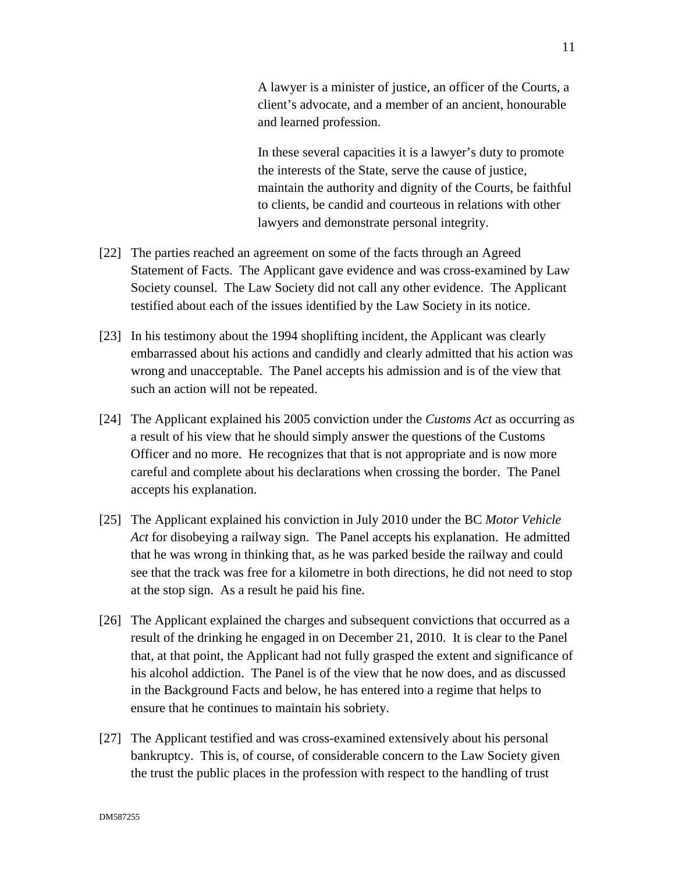A lawyer is a minister of justice, an officer of the Courts, a client's advocate, and a member of an ancient, honourable and learned profession.

In these several capacities it is a lawyer's duty to promote the interests of the State, serve the cause of justice, maintain the authority and dignity of the Courts, be faithful to clients, be candid and courteous in relations with other lawyers and demonstrate personal integrity.

- [22] The parties reached an agreement on some of the facts through an Agreed Statement of Facts. The Applicant gave evidence and was cross-examined by Law Society counsel. The Law Society did not call any other evidence. The Applicant testified about each of the issues identified by the Law Society in its notice.
- [23] In his testimony about the 1994 shoplifting incident, the Applicant was clearly embarrassed about his actions and candidly and clearly admitted that his action was wrong and unacceptable. The Panel accepts his admission and is of the view that such an action will not be repeated.
- [24] The Applicant explained his 2005 conviction under the *Customs Act* as occurring as a result of his view that he should simply answer the questions of the Customs Officer and no more. He recognizes that that is not appropriate and is now more careful and complete about his declarations when crossing the border. The Panel accepts his explanation.
- [25] The Applicant explained his conviction in July 2010 under the BC *Motor Vehicle Act* for disobeying a railway sign. The Panel accepts his explanation. He admitted that he was wrong in thinking that, as he was parked beside the railway and could see that the track was free for a kilometre in both directions, he did not need to stop at the stop sign. As a result he paid his fine.
- [26] The Applicant explained the charges and subsequent convictions that occurred as a result of the drinking he engaged in on December 21, 2010. It is clear to the Panel that, at that point, the Applicant had not fully grasped the extent and significance of his alcohol addiction. The Panel is of the view that he now does, and as discussed in the Background Facts and below, he has entered into a regime that helps to ensure that he continues to maintain his sobriety.
- [27] The Applicant testified and was cross-examined extensively about his personal bankruptcy. This is, of course, of considerable concern to the Law Society given the trust the public places in the profession with respect to the handling of trust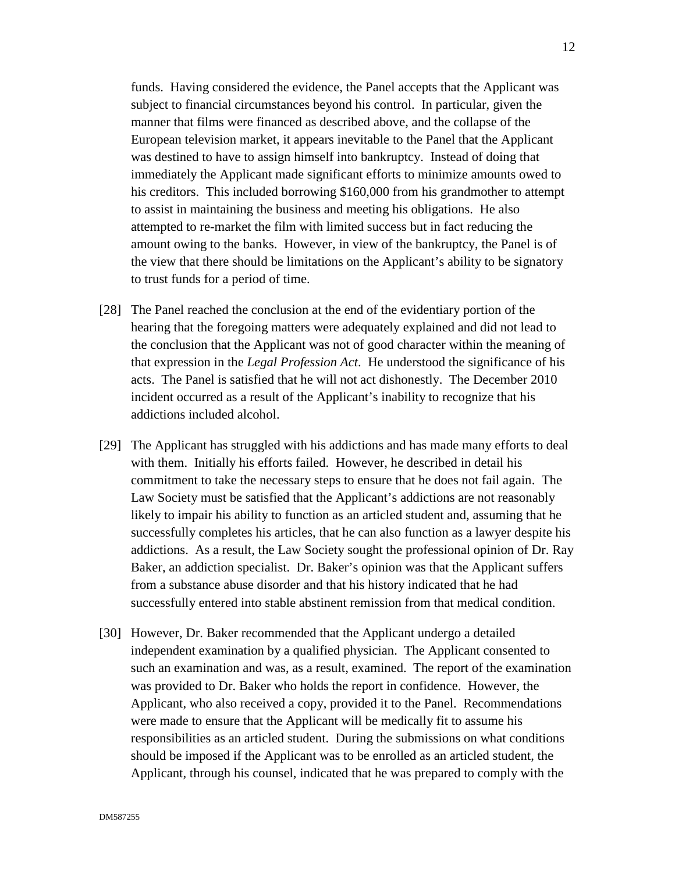funds. Having considered the evidence, the Panel accepts that the Applicant was subject to financial circumstances beyond his control. In particular, given the manner that films were financed as described above, and the collapse of the European television market, it appears inevitable to the Panel that the Applicant was destined to have to assign himself into bankruptcy. Instead of doing that immediately the Applicant made significant efforts to minimize amounts owed to his creditors. This included borrowing \$160,000 from his grandmother to attempt to assist in maintaining the business and meeting his obligations. He also attempted to re-market the film with limited success but in fact reducing the amount owing to the banks. However, in view of the bankruptcy, the Panel is of the view that there should be limitations on the Applicant's ability to be signatory to trust funds for a period of time.

- [28] The Panel reached the conclusion at the end of the evidentiary portion of the hearing that the foregoing matters were adequately explained and did not lead to the conclusion that the Applicant was not of good character within the meaning of that expression in the *Legal Profession Act*. He understood the significance of his acts. The Panel is satisfied that he will not act dishonestly. The December 2010 incident occurred as a result of the Applicant's inability to recognize that his addictions included alcohol.
- [29] The Applicant has struggled with his addictions and has made many efforts to deal with them. Initially his efforts failed. However, he described in detail his commitment to take the necessary steps to ensure that he does not fail again. The Law Society must be satisfied that the Applicant's addictions are not reasonably likely to impair his ability to function as an articled student and, assuming that he successfully completes his articles, that he can also function as a lawyer despite his addictions. As a result, the Law Society sought the professional opinion of Dr. Ray Baker, an addiction specialist. Dr. Baker's opinion was that the Applicant suffers from a substance abuse disorder and that his history indicated that he had successfully entered into stable abstinent remission from that medical condition.
- [30] However, Dr. Baker recommended that the Applicant undergo a detailed independent examination by a qualified physician. The Applicant consented to such an examination and was, as a result, examined. The report of the examination was provided to Dr. Baker who holds the report in confidence. However, the Applicant, who also received a copy, provided it to the Panel. Recommendations were made to ensure that the Applicant will be medically fit to assume his responsibilities as an articled student. During the submissions on what conditions should be imposed if the Applicant was to be enrolled as an articled student, the Applicant, through his counsel, indicated that he was prepared to comply with the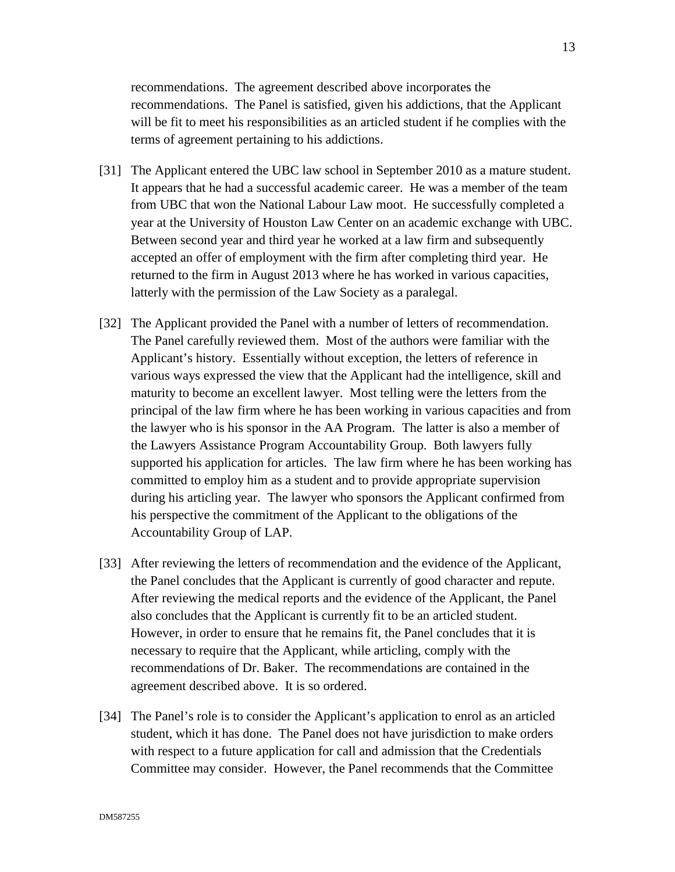recommendations. The agreement described above incorporates the recommendations. The Panel is satisfied, given his addictions, that the Applicant will be fit to meet his responsibilities as an articled student if he complies with the terms of agreement pertaining to his addictions.

- [31] The Applicant entered the UBC law school in September 2010 as a mature student. It appears that he had a successful academic career. He was a member of the team from UBC that won the National Labour Law moot. He successfully completed a year at the University of Houston Law Center on an academic exchange with UBC. Between second year and third year he worked at a law firm and subsequently accepted an offer of employment with the firm after completing third year. He returned to the firm in August 2013 where he has worked in various capacities, latterly with the permission of the Law Society as a paralegal.
- [32] The Applicant provided the Panel with a number of letters of recommendation. The Panel carefully reviewed them. Most of the authors were familiar with the Applicant's history. Essentially without exception, the letters of reference in various ways expressed the view that the Applicant had the intelligence, skill and maturity to become an excellent lawyer. Most telling were the letters from the principal of the law firm where he has been working in various capacities and from the lawyer who is his sponsor in the AA Program. The latter is also a member of the Lawyers Assistance Program Accountability Group. Both lawyers fully supported his application for articles. The law firm where he has been working has committed to employ him as a student and to provide appropriate supervision during his articling year. The lawyer who sponsors the Applicant confirmed from his perspective the commitment of the Applicant to the obligations of the Accountability Group of LAP.
- [33] After reviewing the letters of recommendation and the evidence of the Applicant, the Panel concludes that the Applicant is currently of good character and repute. After reviewing the medical reports and the evidence of the Applicant, the Panel also concludes that the Applicant is currently fit to be an articled student. However, in order to ensure that he remains fit, the Panel concludes that it is necessary to require that the Applicant, while articling, comply with the recommendations of Dr. Baker. The recommendations are contained in the agreement described above. It is so ordered.
- [34] The Panel's role is to consider the Applicant's application to enrol as an articled student, which it has done. The Panel does not have jurisdiction to make orders with respect to a future application for call and admission that the Credentials Committee may consider. However, the Panel recommends that the Committee